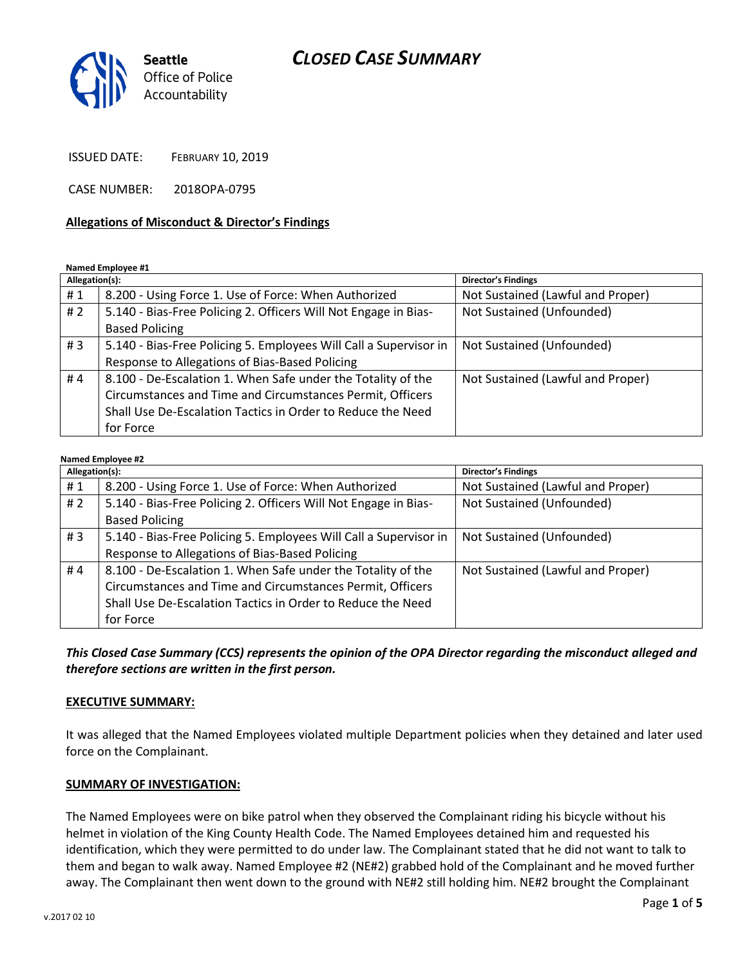# *CLOSED CASE SUMMARY*



ISSUED DATE: FEBRUARY 10, 2019

CASE NUMBER: 2018OPA-0795

#### **Allegations of Misconduct & Director's Findings**

**Named Employee #1**

| Allegation(s): |                                                                   | <b>Director's Findings</b>        |
|----------------|-------------------------------------------------------------------|-----------------------------------|
| #1             | 8.200 - Using Force 1. Use of Force: When Authorized              | Not Sustained (Lawful and Proper) |
| #2             | 5.140 - Bias-Free Policing 2. Officers Will Not Engage in Bias-   | Not Sustained (Unfounded)         |
|                | <b>Based Policing</b>                                             |                                   |
| #3             | 5.140 - Bias-Free Policing 5. Employees Will Call a Supervisor in | Not Sustained (Unfounded)         |
|                | Response to Allegations of Bias-Based Policing                    |                                   |
| #4             | 8.100 - De-Escalation 1. When Safe under the Totality of the      | Not Sustained (Lawful and Proper) |
|                | Circumstances and Time and Circumstances Permit, Officers         |                                   |
|                | Shall Use De-Escalation Tactics in Order to Reduce the Need       |                                   |
|                | for Force                                                         |                                   |

#### **Named Employee #2**

| Allegation(s): |                                                                   | <b>Director's Findings</b>        |
|----------------|-------------------------------------------------------------------|-----------------------------------|
| #1             | 8.200 - Using Force 1. Use of Force: When Authorized              | Not Sustained (Lawful and Proper) |
| #2             | 5.140 - Bias-Free Policing 2. Officers Will Not Engage in Bias-   | Not Sustained (Unfounded)         |
|                | <b>Based Policing</b>                                             |                                   |
| #3             | 5.140 - Bias-Free Policing 5. Employees Will Call a Supervisor in | Not Sustained (Unfounded)         |
|                | Response to Allegations of Bias-Based Policing                    |                                   |
| #4             | 8.100 - De-Escalation 1. When Safe under the Totality of the      | Not Sustained (Lawful and Proper) |
|                | Circumstances and Time and Circumstances Permit, Officers         |                                   |
|                | Shall Use De-Escalation Tactics in Order to Reduce the Need       |                                   |
|                | for Force                                                         |                                   |

*This Closed Case Summary (CCS) represents the opinion of the OPA Director regarding the misconduct alleged and therefore sections are written in the first person.* 

#### **EXECUTIVE SUMMARY:**

It was alleged that the Named Employees violated multiple Department policies when they detained and later used force on the Complainant.

#### **SUMMARY OF INVESTIGATION:**

The Named Employees were on bike patrol when they observed the Complainant riding his bicycle without his helmet in violation of the King County Health Code. The Named Employees detained him and requested his identification, which they were permitted to do under law. The Complainant stated that he did not want to talk to them and began to walk away. Named Employee #2 (NE#2) grabbed hold of the Complainant and he moved further away. The Complainant then went down to the ground with NE#2 still holding him. NE#2 brought the Complainant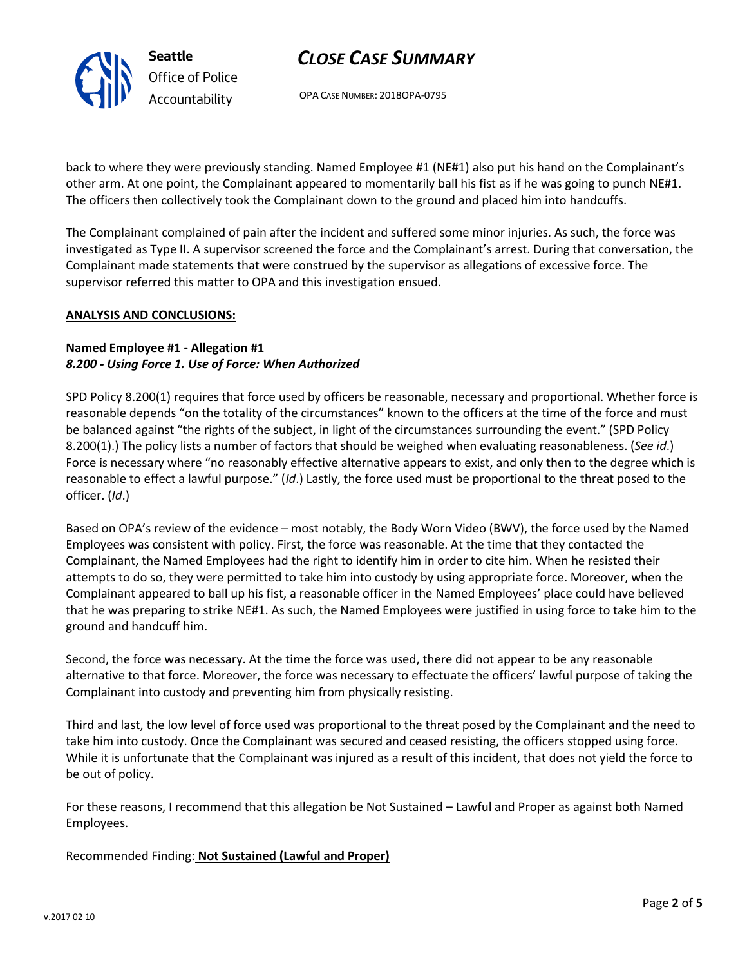

# *CLOSE CASE SUMMARY*

OPA CASE NUMBER: 2018OPA-0795

back to where they were previously standing. Named Employee #1 (NE#1) also put his hand on the Complainant's other arm. At one point, the Complainant appeared to momentarily ball his fist as if he was going to punch NE#1. The officers then collectively took the Complainant down to the ground and placed him into handcuffs.

The Complainant complained of pain after the incident and suffered some minor injuries. As such, the force was investigated as Type II. A supervisor screened the force and the Complainant's arrest. During that conversation, the Complainant made statements that were construed by the supervisor as allegations of excessive force. The supervisor referred this matter to OPA and this investigation ensued.

### **ANALYSIS AND CONCLUSIONS:**

### **Named Employee #1 - Allegation #1** *8.200 - Using Force 1. Use of Force: When Authorized*

SPD Policy 8.200(1) requires that force used by officers be reasonable, necessary and proportional. Whether force is reasonable depends "on the totality of the circumstances" known to the officers at the time of the force and must be balanced against "the rights of the subject, in light of the circumstances surrounding the event." (SPD Policy 8.200(1).) The policy lists a number of factors that should be weighed when evaluating reasonableness. (*See id*.) Force is necessary where "no reasonably effective alternative appears to exist, and only then to the degree which is reasonable to effect a lawful purpose." (*Id*.) Lastly, the force used must be proportional to the threat posed to the officer. (*Id*.)

Based on OPA's review of the evidence – most notably, the Body Worn Video (BWV), the force used by the Named Employees was consistent with policy. First, the force was reasonable. At the time that they contacted the Complainant, the Named Employees had the right to identify him in order to cite him. When he resisted their attempts to do so, they were permitted to take him into custody by using appropriate force. Moreover, when the Complainant appeared to ball up his fist, a reasonable officer in the Named Employees' place could have believed that he was preparing to strike NE#1. As such, the Named Employees were justified in using force to take him to the ground and handcuff him.

Second, the force was necessary. At the time the force was used, there did not appear to be any reasonable alternative to that force. Moreover, the force was necessary to effectuate the officers' lawful purpose of taking the Complainant into custody and preventing him from physically resisting.

Third and last, the low level of force used was proportional to the threat posed by the Complainant and the need to take him into custody. Once the Complainant was secured and ceased resisting, the officers stopped using force. While it is unfortunate that the Complainant was injured as a result of this incident, that does not yield the force to be out of policy.

For these reasons, I recommend that this allegation be Not Sustained – Lawful and Proper as against both Named Employees.

Recommended Finding: **Not Sustained (Lawful and Proper)**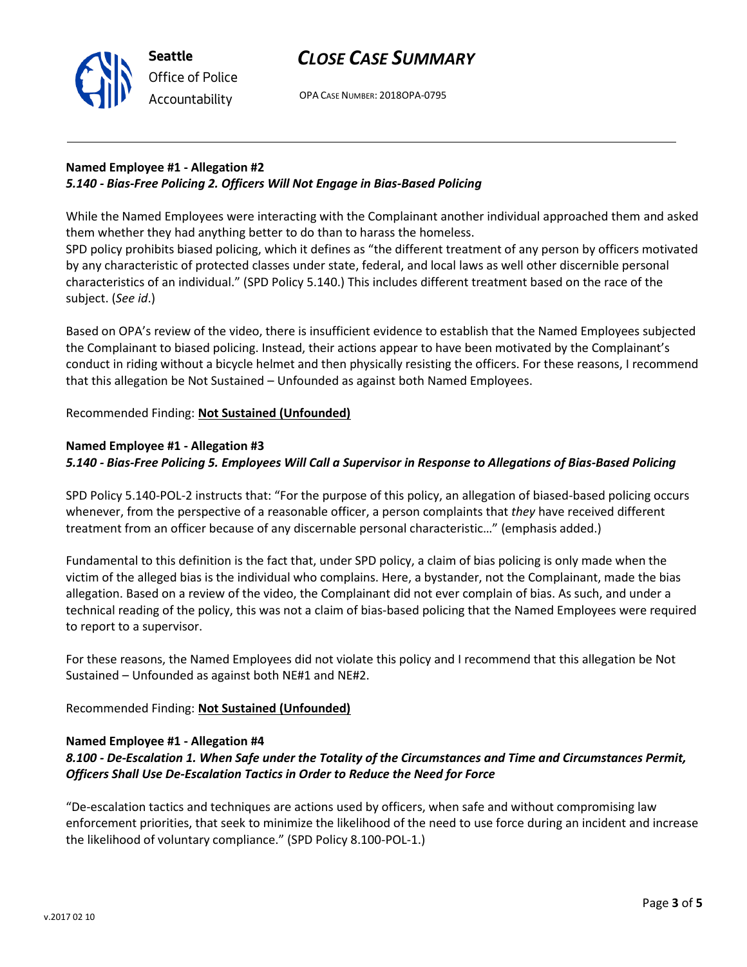

OPA CASE NUMBER: 2018OPA-0795

## **Named Employee #1 - Allegation #2** *5.140 - Bias-Free Policing 2. Officers Will Not Engage in Bias-Based Policing*

While the Named Employees were interacting with the Complainant another individual approached them and asked them whether they had anything better to do than to harass the homeless.

SPD policy prohibits biased policing, which it defines as "the different treatment of any person by officers motivated by any characteristic of protected classes under state, federal, and local laws as well other discernible personal characteristics of an individual." (SPD Policy 5.140.) This includes different treatment based on the race of the subject. (*See id*.)

Based on OPA's review of the video, there is insufficient evidence to establish that the Named Employees subjected the Complainant to biased policing. Instead, their actions appear to have been motivated by the Complainant's conduct in riding without a bicycle helmet and then physically resisting the officers. For these reasons, I recommend that this allegation be Not Sustained – Unfounded as against both Named Employees.

### Recommended Finding: **Not Sustained (Unfounded)**

### **Named Employee #1 - Allegation #3**

**Seattle**

*Office of Police Accountability*

*5.140 - Bias-Free Policing 5. Employees Will Call a Supervisor in Response to Allegations of Bias-Based Policing*

SPD Policy 5.140-POL-2 instructs that: "For the purpose of this policy, an allegation of biased-based policing occurs whenever, from the perspective of a reasonable officer, a person complaints that *they* have received different treatment from an officer because of any discernable personal characteristic…" (emphasis added.)

Fundamental to this definition is the fact that, under SPD policy, a claim of bias policing is only made when the victim of the alleged bias is the individual who complains. Here, a bystander, not the Complainant, made the bias allegation. Based on a review of the video, the Complainant did not ever complain of bias. As such, and under a technical reading of the policy, this was not a claim of bias-based policing that the Named Employees were required to report to a supervisor.

For these reasons, the Named Employees did not violate this policy and I recommend that this allegation be Not Sustained – Unfounded as against both NE#1 and NE#2.

Recommended Finding: **Not Sustained (Unfounded)**

#### **Named Employee #1 - Allegation #4**

# *8.100 - De-Escalation 1. When Safe under the Totality of the Circumstances and Time and Circumstances Permit, Officers Shall Use De-Escalation Tactics in Order to Reduce the Need for Force*

"De-escalation tactics and techniques are actions used by officers, when safe and without compromising law enforcement priorities, that seek to minimize the likelihood of the need to use force during an incident and increase the likelihood of voluntary compliance." (SPD Policy 8.100-POL-1.)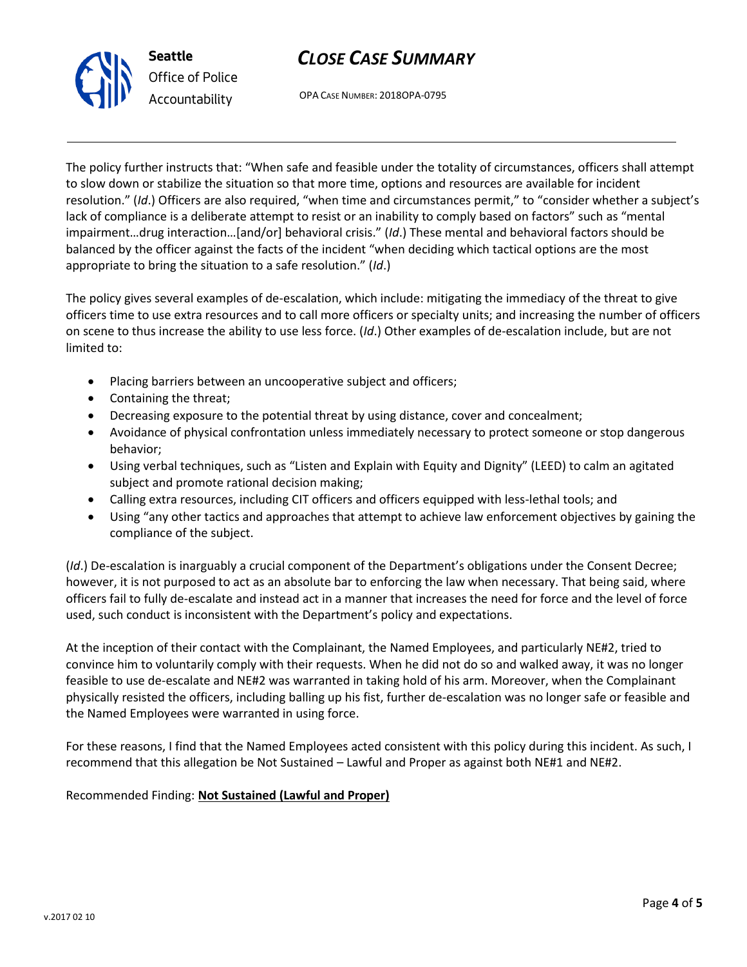# *CLOSE CASE SUMMARY*



OPA CASE NUMBER: 2018OPA-0795

The policy further instructs that: "When safe and feasible under the totality of circumstances, officers shall attempt to slow down or stabilize the situation so that more time, options and resources are available for incident resolution." (*Id*.) Officers are also required, "when time and circumstances permit," to "consider whether a subject's lack of compliance is a deliberate attempt to resist or an inability to comply based on factors" such as "mental impairment…drug interaction…[and/or] behavioral crisis." (*Id*.) These mental and behavioral factors should be balanced by the officer against the facts of the incident "when deciding which tactical options are the most appropriate to bring the situation to a safe resolution." (*Id*.)

The policy gives several examples of de-escalation, which include: mitigating the immediacy of the threat to give officers time to use extra resources and to call more officers or specialty units; and increasing the number of officers on scene to thus increase the ability to use less force. (*Id*.) Other examples of de-escalation include, but are not limited to:

- Placing barriers between an uncooperative subject and officers;
- Containing the threat;
- Decreasing exposure to the potential threat by using distance, cover and concealment;
- Avoidance of physical confrontation unless immediately necessary to protect someone or stop dangerous behavior;
- Using verbal techniques, such as "Listen and Explain with Equity and Dignity" (LEED) to calm an agitated subject and promote rational decision making;
- Calling extra resources, including CIT officers and officers equipped with less-lethal tools; and
- Using "any other tactics and approaches that attempt to achieve law enforcement objectives by gaining the compliance of the subject.

(*Id*.) De-escalation is inarguably a crucial component of the Department's obligations under the Consent Decree; however, it is not purposed to act as an absolute bar to enforcing the law when necessary. That being said, where officers fail to fully de-escalate and instead act in a manner that increases the need for force and the level of force used, such conduct is inconsistent with the Department's policy and expectations.

At the inception of their contact with the Complainant, the Named Employees, and particularly NE#2, tried to convince him to voluntarily comply with their requests. When he did not do so and walked away, it was no longer feasible to use de-escalate and NE#2 was warranted in taking hold of his arm. Moreover, when the Complainant physically resisted the officers, including balling up his fist, further de-escalation was no longer safe or feasible and the Named Employees were warranted in using force.

For these reasons, I find that the Named Employees acted consistent with this policy during this incident. As such, I recommend that this allegation be Not Sustained – Lawful and Proper as against both NE#1 and NE#2.

## Recommended Finding: **Not Sustained (Lawful and Proper)**